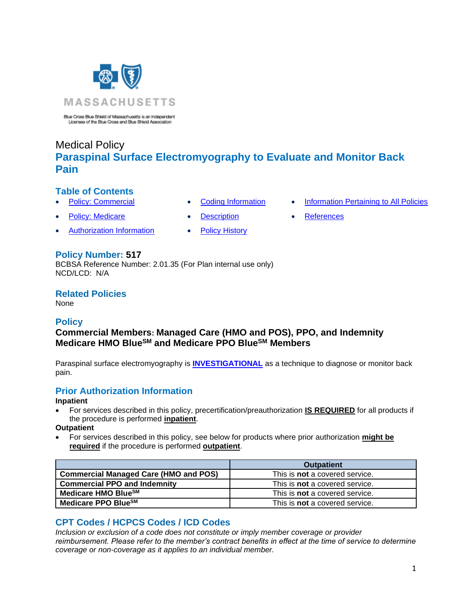

Blue Cross Blue Shield of Massachusetts is an Independent<br>Licensee of the Blue Cross and Blue Shield Association

# Medical Policy **Paraspinal Surface Electromyography to Evaluate and Monitor Back Pain**

## **Table of Contents**

- 
- [Policy: Medicare](#page-0-0) [Description](#page-1-0) [References](#page-3-0)
- [Authorization Information](#page-0-2) [Policy History](#page-2-1)
- 
- 
- 

## **Policy Number: 517**

BCBSA Reference Number: 2.01.35 (For Plan internal use only) NCD/LCD: N/A

**Related Policies** 

None

## <span id="page-0-0"></span>**Policy**

## **Commercial Members: Managed Care (HMO and POS), PPO, and Indemnity Medicare HMO BlueSM and Medicare PPO BlueSM Members**

Paraspinal surface electromyography is **[INVESTIGATIONAL](https://www.bluecrossma.org/medical-policies/sites/g/files/csphws2091/files/acquiadam-assets/Definition%20of%20Med%20Nec%20Inv%20Not%20Med%20Nec%20prn.pdf#page=1)** as a technique to diagnose or monitor back pain.

## <span id="page-0-2"></span>**Prior Authorization Information**

### **Inpatient**

• For services described in this policy, precertification/preauthorization **IS REQUIRED** for all products if the procedure is performed **inpatient**.

**Outpatient**

• For services described in this policy, see below for products where prior authorization **might be required** if the procedure is performed **outpatient**.

|                                              | <b>Outpatient</b>                     |
|----------------------------------------------|---------------------------------------|
| <b>Commercial Managed Care (HMO and POS)</b> | This is <b>not</b> a covered service. |
| <b>Commercial PPO and Indemnity</b>          | This is <b>not</b> a covered service. |
| Medicare HMO Blue <sup>SM</sup>              | This is <b>not</b> a covered service. |
| Medicare PPO BlueSM                          | This is <b>not</b> a covered service. |

## <span id="page-0-1"></span>**CPT Codes / HCPCS Codes / ICD Codes**

*Inclusion or exclusion of a code does not constitute or imply member coverage or provider reimbursement. Please refer to the member's contract benefits in effect at the time of service to determine coverage or non-coverage as it applies to an individual member.*

- **[Policy: Commercial](#page-0-0) [Coding Information](#page-0-1) [Information Pertaining to All Policies](#page-2-0)** 
	-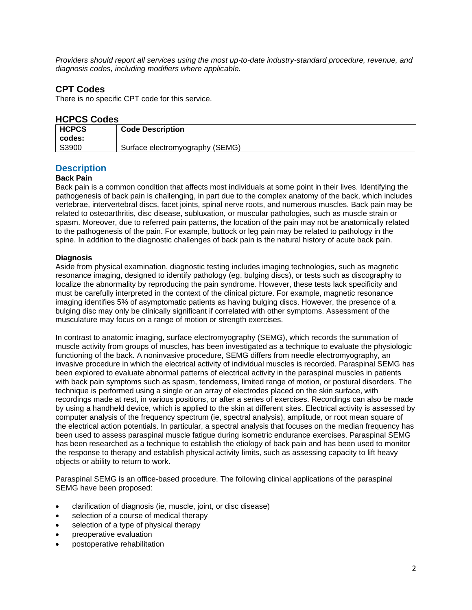*Providers should report all services using the most up-to-date industry-standard procedure, revenue, and diagnosis codes, including modifiers where applicable.*

### **CPT Codes**

There is no specific CPT code for this service.

#### **HCPCS Codes**

| <b>HCPCS</b><br>codes: | <b>Code Description</b>         |
|------------------------|---------------------------------|
| S3900                  | Surface electromyography (SEMG) |

## <span id="page-1-0"></span>**Description**

#### **Back Pain**

Back pain is a common condition that affects most individuals at some point in their lives. Identifying the pathogenesis of back pain is challenging, in part due to the complex anatomy of the back, which includes vertebrae, intervertebral discs, facet joints, spinal nerve roots, and numerous muscles. Back pain may be related to osteoarthritis, disc disease, subluxation, or muscular pathologies, such as muscle strain or spasm. Moreover, due to referred pain patterns, the location of the pain may not be anatomically related to the pathogenesis of the pain. For example, buttock or leg pain may be related to pathology in the spine. In addition to the diagnostic challenges of back pain is the natural history of acute back pain.

#### **Diagnosis**

Aside from physical examination, diagnostic testing includes imaging technologies, such as magnetic resonance imaging, designed to identify pathology (eg, bulging discs), or tests such as discography to localize the abnormality by reproducing the pain syndrome. However, these tests lack specificity and must be carefully interpreted in the context of the clinical picture. For example, magnetic resonance imaging identifies 5% of asymptomatic patients as having bulging discs. However, the presence of a bulging disc may only be clinically significant if correlated with other symptoms. Assessment of the musculature may focus on a range of motion or strength exercises.

In contrast to anatomic imaging, surface electromyography (SEMG), which records the summation of muscle activity from groups of muscles, has been investigated as a technique to evaluate the physiologic functioning of the back. A noninvasive procedure, SEMG differs from needle electromyography, an invasive procedure in which the electrical activity of individual muscles is recorded. Paraspinal SEMG has been explored to evaluate abnormal patterns of electrical activity in the paraspinal muscles in patients with back pain symptoms such as spasm, tenderness, limited range of motion, or postural disorders. The technique is performed using a single or an array of electrodes placed on the skin surface, with recordings made at rest, in various positions, or after a series of exercises. Recordings can also be made by using a handheld device, which is applied to the skin at different sites. Electrical activity is assessed by computer analysis of the frequency spectrum (ie, spectral analysis), amplitude, or root mean square of the electrical action potentials. In particular, a spectral analysis that focuses on the median frequency has been used to assess paraspinal muscle fatigue during isometric endurance exercises. Paraspinal SEMG has been researched as a technique to establish the etiology of back pain and has been used to monitor the response to therapy and establish physical activity limits, such as assessing capacity to lift heavy objects or ability to return to work.

Paraspinal SEMG is an office-based procedure. The following clinical applications of the paraspinal SEMG have been proposed:

- clarification of diagnosis (ie, muscle, joint, or disc disease)
- selection of a course of medical therapy
- selection of a type of physical therapy
- preoperative evaluation
- postoperative rehabilitation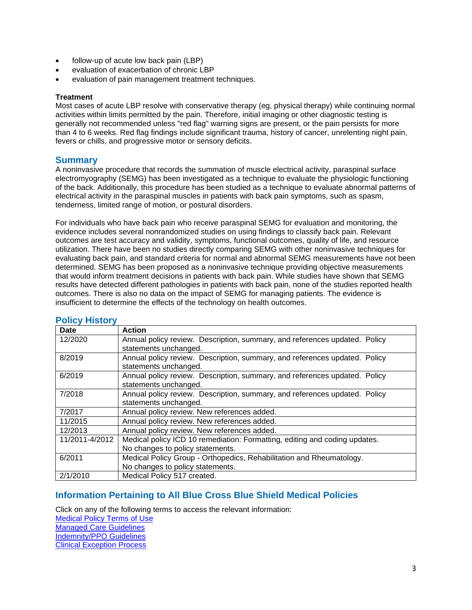- follow-up of acute low back pain (LBP)
- evaluation of exacerbation of chronic LBP
- evaluation of pain management treatment techniques.

#### **Treatment**

Most cases of acute LBP resolve with conservative therapy (eg, physical therapy) while continuing normal activities within limits permitted by the pain. Therefore, initial imaging or other diagnostic testing is generally not recommended unless "red flag" warning signs are present, or the pain persists for more than 4 to 6 weeks. Red flag findings include significant trauma, history of cancer, unrelenting night pain, fevers or chills, and progressive motor or sensory deficits.

#### **Summary**

A noninvasive procedure that records the summation of muscle electrical activity, paraspinal surface electromyography (SEMG) has been investigated as a technique to evaluate the physiologic functioning of the back. Additionally, this procedure has been studied as a technique to evaluate abnormal patterns of electrical activity in the paraspinal muscles in patients with back pain symptoms, such as spasm, tenderness, limited range of motion, or postural disorders.

For individuals who have back pain who receive paraspinal SEMG for evaluation and monitoring, the evidence includes several nonrandomized studies on using findings to classify back pain. Relevant outcomes are test accuracy and validity, symptoms, functional outcomes, quality of life, and resource utilization. There have been no studies directly comparing SEMG with other noninvasive techniques for evaluating back pain, and standard criteria for normal and abnormal SEMG measurements have not been determined. SEMG has been proposed as a noninvasive technique providing objective measurements that would inform treatment decisions in patients with back pain. While studies have shown that SEMG results have detected different pathologies in patients with back pain, none of the studies reported health outcomes. There is also no data on the impact of SEMG for managing patients. The evidence is insufficient to determine the effects of the technology on health outcomes.

| <b>Date</b>    | <b>Action</b>                                                              |
|----------------|----------------------------------------------------------------------------|
| 12/2020        | Annual policy review. Description, summary, and references updated. Policy |
|                | statements unchanged.                                                      |
| 8/2019         | Annual policy review. Description, summary, and references updated. Policy |
|                | statements unchanged.                                                      |
| 6/2019         | Annual policy review. Description, summary, and references updated. Policy |
|                | statements unchanged.                                                      |
| 7/2018         | Annual policy review. Description, summary, and references updated. Policy |
|                | statements unchanged.                                                      |
| 7/2017         | Annual policy review. New references added.                                |
| 11/2015        | Annual policy review. New references added.                                |
| 12/2013        | Annual policy review. New references added.                                |
| 11/2011-4/2012 | Medical policy ICD 10 remediation: Formatting, editing and coding updates. |
|                | No changes to policy statements.                                           |
| 6/2011         | Medical Policy Group - Orthopedics, Rehabilitation and Rheumatology.       |
|                | No changes to policy statements.                                           |
| 2/1/2010       | Medical Policy 517 created.                                                |

### <span id="page-2-1"></span>**Policy History**

### <span id="page-2-0"></span>**[Information Pertaining to All Blue Cross Blue Shield Medical Policies](#page-2-0)**

Click on any of the following terms to access the relevant information: [Medical Policy Terms of Use](http://www.bluecrossma.org/medical-policies/sites/g/files/csphws2091/files/acquiadam-assets/Medical_Policy_Terms_of_Use_prn.pdf) [Managed Care Guidelines](http://www.bluecrossma.org/medical-policies/sites/g/files/csphws2091/files/acquiadam-assets/Managed_Care_Guidelines_prn.pdf) [Indemnity/PPO Guidelines](http://www.bluecrossma.org/medical-policies/sites/g/files/csphws2091/files/acquiadam-assets/Indemnity_and_PPO_Guidelines_prn.pdf) [Clinical Exception Process](http://www.bluecrossma.org/medical-policies/sites/g/files/csphws2091/files/acquiadam-assets/Clinical_Exception_Process_prn.pdf)